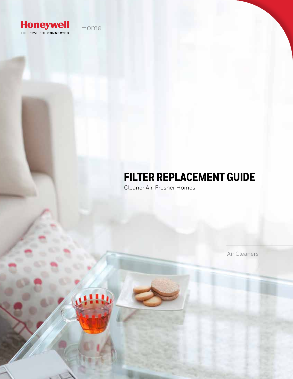

# Home

 $111$ 

# **FILTER REPLACEMENT GUIDE**

Cleaner Air, Fresher Homes

Air Cleaners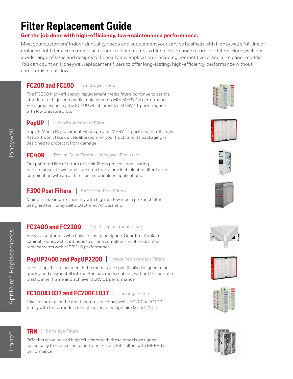# **Filter Replacement Guide**

### **Get the job done with high-efficiency, low-maintenance performance.**

Meet your customers' indoor air quality needs and supplement your service business with Honeywell's full line of replacement filters. From media air cleaner replacements, to high performance return grill filters, Honeywell has a wide range of sizes and designs to fit nearly any application - including competitive-brand air-cleaner models. You can count on Honeywell replacement filters to offer long-lasting, high-efficiency performance without compromising airflow.

# **FC200 and FC100** | Cartridge Filters

The FC200 high-efficiency replacement media filters continue to set the standard for high-end media replacements with MERV 13 performance. For a great value, try the FC100 which provides MERV 11 performance with low pressure drop.

### **PopUP** | Media Replacement Filters

PopUP Media Replacement Filters provide MERV 11 performance. It ships flat so it won't take up valuable room on your truck, and its packaging is designed to protect it from damage.

#### **FC40R** | Return Grille Filters – Honeywell Exclusive

Our patented line of return grille air filters provide long-lasting performance at lower pressure drop than a one inch pleated filter. Use in combination with an air filter, or in standalone applications.

# **F300 Post Filters** | EAC Mesh Post Filters

Maintain maximum efficiency with high air flow media pre/post filters designed for Honeywell's Electronic Air Cleaners.

# **FC2400 and FC2200** | Direct Replacement Filters

For your customers who have an installed Space-Guard® or Aprilaire cabinet, Honeywell continues to offer a complete line of media filter replacements with MERV 10 performance.

## **PopUP2400 and PopUP2200** | Media Replacement Filters

These PopUP Replacement Filter models are specifically designed to be quickly and easy install into an Aprilaire media cabinet without the use of a plastic inner frame and achieve MERV 11 performance.

# **FC100A1037 and FC200E1037** | Cartridge Filters

Take advantage of the great features of Honeywell's FC200 & FC100 family with these models to replace installed Aprilaire Model 2200.

### **TRN** | Cartridge Filters

Offer better value and high efficiency with these models designed specifically to replace installed Trane Perfect Fit™ filters with MERV 10 performance.

















Honeywell

Honeywell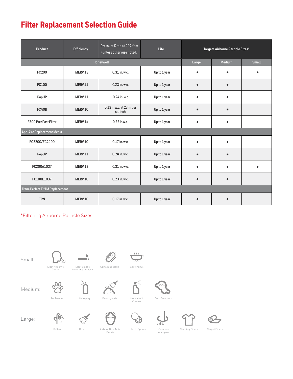# **Filter Replacement Selection Guide**

| Product                                | Efficiency | Pressure Drop at 492 fpm<br>(unless otherwise noted) | Life         | Targets Airborne Particle Sizes* |               |           |
|----------------------------------------|------------|------------------------------------------------------|--------------|----------------------------------|---------------|-----------|
|                                        |            | Honeywell                                            |              | Large                            | <b>Medium</b> | Small     |
| FC200                                  | MERV13     | 0.31 in. w.c.                                        | Up to 1 year | $\bullet$                        | $\bullet$     | $\bullet$ |
| FC100                                  | MERV11     | 0.23 in. w.c.                                        | Up to 1 year | $\bullet$                        | $\epsilon$    |           |
| PopUP                                  | MERV11     | 0.24 in. w.c                                         | Up to 1 year | $\bullet$                        | $\bullet$     |           |
| FC40R                                  | MERV10     | 0.12 in w.c. at 2cfm per<br>sq. inch                 | Up to 1 year | $\bullet$                        | $\bullet$     |           |
| F300 Pre/Post Filter                   | MERV14     | 0.22 in w.c.                                         | Up to 1 year | $\bullet$                        | $\bullet$     |           |
| AprilAire Replacement Media            |            |                                                      |              |                                  |               |           |
| FC2200/FC2400                          | MERV10     | 0.17 in. w.c.                                        | Up to 1 year | $\bullet$                        | $\bullet$     |           |
| PopUP                                  | MERV11     | 0.24 in. w.c.                                        | Up to 1 year | $\bullet$                        | $\bullet$     |           |
| FC200A1037                             | MERV13     | $0.31$ in. w.c.                                      | Up to 1 year | $\bullet$                        | $\bullet$     | $\bullet$ |
| FC100E1037                             | MERV10     | 0.23 in. w.c.                                        | Up to 1 year | $\bullet$                        | $\bullet$     |           |
| <b>Trane Perfect FitTM Replacement</b> |            |                                                      |              |                                  |               |           |
| <b>TRN</b>                             | MERV10     | 0.17 in. w.c.                                        | Up to 1 year |                                  | ٠             |           |

\*Filtering Airborne Particle Sizes:

Small:

 $\overline{\phantom{a}}$ Most Airbor

 $\mathbf{h}$ Most Smoke including tabacco





Medium:

000

Germs

े<br>∫ Pet Dander Hairspray Dusting Aids













Large:

 $\frac{d}{d}$ 

Airborn Dust Mite Debris Pollen Dust Mold Spores Common

Allergens

Clothing Fibers Carpet Fibers